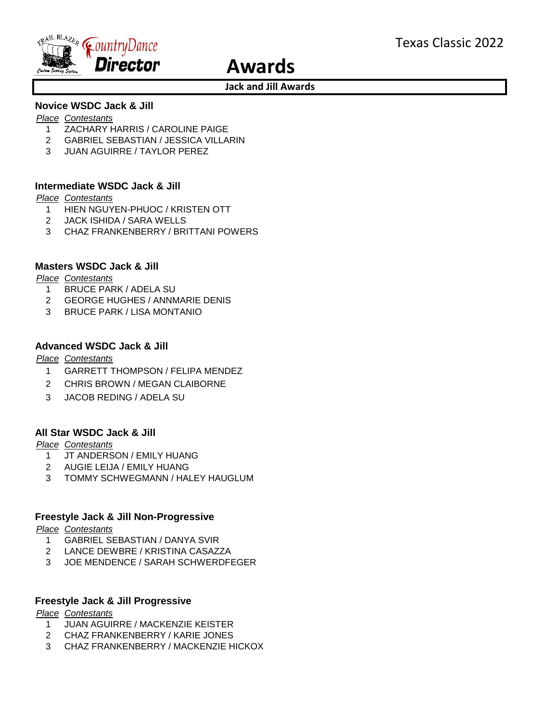

# **Awards**

## **Jack and Jill Awards**

# **Novice WSDC Jack & Jill**

#### *Place Contestants*

- 1 ZACHARY HARRIS / CAROLINE PAIGE
- 2 GABRIEL SEBASTIAN / JESSICA VILLARIN
- 3 JUAN AGUIRRE / TAYLOR PEREZ

## **Intermediate WSDC Jack & Jill**

#### *Place Contestants*

- 1 HIEN NGUYEN-PHUOC / KRISTEN OTT
- 2 JACK ISHIDA / SARA WELLS
- 3 CHAZ FRANKENBERRY / BRITTANI POWERS

## **Masters WSDC Jack & Jill**

#### *Place Contestants*

- 1 BRUCE PARK / ADELA SU
- 2 GEORGE HUGHES / ANNMARIE DENIS
- 3 BRUCE PARK / LISA MONTANIO

## **Advanced WSDC Jack & Jill**

*Place Contestants*

- 1 GARRETT THOMPSON / FELIPA MENDEZ
- 2 CHRIS BROWN / MEGAN CLAIBORNE
- 3 JACOB REDING / ADELA SU

## **All Star WSDC Jack & Jill**

#### *Place Contestants*

- 1 JT ANDERSON / EMILY HUANG
- 2 AUGIE LEIJA / EMILY HUANG
- 3 TOMMY SCHWEGMANN / HALEY HAUGLUM

### **Freestyle Jack & Jill Non-Progressive**

*Place Contestants*

- 1 GABRIEL SEBASTIAN / DANYA SVIR
- 2 LANCE DEWBRE / KRISTINA CASAZZA
- 3 JOE MENDENCE / SARAH SCHWERDFEGER

### **Freestyle Jack & Jill Progressive**

#### *Place Contestants*

- 1 JUAN AGUIRRE / MACKENZIE KEISTER
- 2 CHAZ FRANKENBERRY / KARIE JONES
- 3 CHAZ FRANKENBERRY / MACKENZIE HICKOX